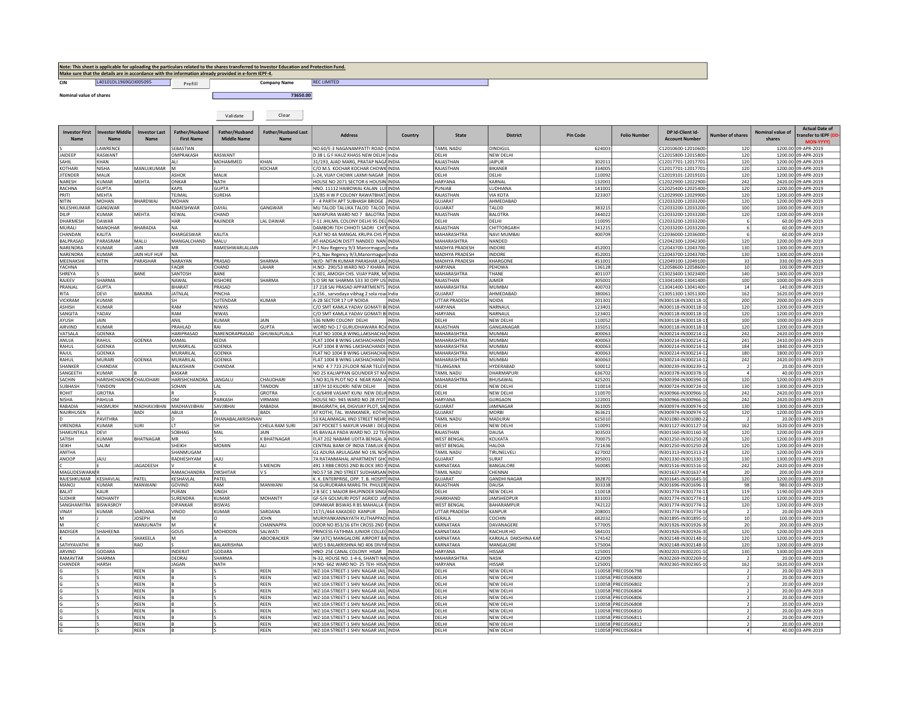## <u>Note: This sheet is applicable for uploading the particulars related to the shares transferred to Investor Education and Protection Fund.</u><br>Make sure that the details are in accordance with the information already provided

CIN L40101DL1969GOI005095 Prefill Company Name REC LIMITED

Nominal value of shares 73650.00 and 200 minutes and 200 minutes and 200 minutes and 200 minutes 73650.00 minutes and 200 minutes and 200 minutes and 200 minutes and 200 minutes and 200 minutes and 200 minutes and 200 min

Prefill **Company** 

Validate Clear

| <b>Investor First</b><br><b>Name</b> | westor Middle<br><b>Name</b> | <b>Investor Last</b><br><b>Name</b> | Father/Husband<br><b>First Name</b> | Father/Husband<br><b>Middle Name</b> | <b>Father/Husband Last</b><br><b>Name</b> | <b>Address</b>                                                                        | Country      | State                                   | <b>District</b>              | <b>Pin Code</b>  | <b>Folio Number</b>                      | DP Id-Client Id-<br><b>Account Number</b>  | <b>Number of shares</b>          | Nominal value of<br>shares | <b>Actual Date of</b><br>transfer to IEPF (D<br><b>MON-YYYY</b> |
|--------------------------------------|------------------------------|-------------------------------------|-------------------------------------|--------------------------------------|-------------------------------------------|---------------------------------------------------------------------------------------|--------------|-----------------------------------------|------------------------------|------------------|------------------------------------------|--------------------------------------------|----------------------------------|----------------------------|-----------------------------------------------------------------|
|                                      | LAWRENCE                     |                                     | <b>SEBASTIAN</b>                    |                                      |                                           | NO.60/E-3 NAGANAMPATTI ROAD CINDIA                                                    |              | TAMIL NADU                              | <b>DINDIGUL</b>              | 624003           |                                          | C12010600-12010600                         | 120                              |                            | 1200.00 09-APR-2019                                             |
| <b>IAIDEEP</b>                       | RASWANT                      |                                     | OMPRAKASH                           | RASWANT                              |                                           | D 38 L G F HAUZ KHASS NEW DELHI India                                                 |              | <b>DELHI</b>                            | NEW DELHI                    |                  |                                          | C12015800-12015800                         | 120                              |                            | 1200.00 09-APR-2019                                             |
| SAHIL                                | KHAN                         |                                     | lau                                 | MOHAMMED                             | KHAN                                      | 31/193, AJAD MARG, PRATAP NAGA INDIA                                                  |              | RAJASTHAN                               | <b>AIPUR</b>                 | 302011           |                                          | C12017701-12017701                         | 120                              |                            | 1200.00 09-APR-2019                                             |
| <b>KOTHAR</b>                        | <b>NISHA</b>                 | MANUJKUMAR M                        |                                     |                                      | KOCHAR                                    | C/O M.S. KOCHAR KOCHAR CHOWK INDIA                                                    |              | RAJASTHAN                               | <b>BIKANFR</b>               | 334005           |                                          | C12017701-12017701                         | 120                              |                            | 1200.00 09-APR-2019                                             |
| <b>JITENDER</b>                      | MALIK                        |                                     | ASHOK                               | MALIK                                |                                           | L-24, VIJAY CHOWK LAXMI NAGAR   INDIA                                                 |              | DELHI                                   | DELHI                        | 110092           |                                          | 12019101-12019101                          | 120                              |                            | 1200.00 09-APR-2019                                             |
| NARESH<br>RACHNA                     | KUMAR<br><b>GUPTA</b>        | <b>MEHTA</b>                        | ONKAR<br>KAPIL                      | NATH<br><b>GUPTA</b>                 |                                           | HOUSE NO 2071 SECTOR 6 HOUSIN INDIA<br>HNO. 11112 HAIROWAI KAI AN TUI INDIA           |              | <b>HARYANA</b><br>PUNJAB                | KARNAI<br>LUDHIANA           | 132001<br>141001 |                                          | 12022900-12022900<br>12025400-12025400     | 242<br>120                       |                            | 2420.00 09-APR-2019<br>1200.00 09-APR-2019                      |
| PRITI                                | MFHTA                        |                                     | TEJMAL                              | SUREHA                               |                                           | 15/85 H W P COLONY RAWATBHAT INDIA                                                    |              | RAIASTHAN                               | VIA KOTA                     | 323307           |                                          | 12029900-12029900                          | 120                              |                            | 1200.00 09-APR-2019                                             |
| NITIN                                | MOHAN                        | <b>HARDWAJ</b>                      | MOHAN                               |                                      |                                           | - 4 PARTH APT SUBHASH BRIDGE INDIA                                                    |              | <b>GUJARAT</b>                          | AHMEDABAD                    |                  |                                          | 12033200-12033200                          | 120                              |                            | 1200.00 09-APR-2019                                             |
| NILESHKUMA                           | GANGWAF                      |                                     | RAMESHWAP                           | DAYAL                                | <b>GWAR</b>                               | MU TALOD TALUKA TALOD TALOD INDIA                                                     |              | <b>GUJARAT</b>                          | TALOD                        | 383215           |                                          | 12033200-12033200                          | 100                              |                            | 1000.00 09-APR-2019                                             |
| <b>DILIP</b>                         | KUMAR                        | <b>MFHTA</b>                        | KFWAI                               | CHAND                                |                                           | NAYAPURA WARD NO 7 BALOTRA UNDIA                                                      |              | RAIASTHAN                               | BAI OTRA                     | 344022           |                                          | 12033200-12033200                          | 120                              |                            | 1200.00 09-APR-2019                                             |
| DHARMESH                             | DAWAR                        |                                     | <b>HAR</b>                          | RAJINDER                             | AL DAWAR                                  | F-11 JHILMIL COLONY DELHI 95 DEL INDIA                                                |              | DELHI                                   | DELHI                        | 110095           |                                          | C12033200-12033200                         |                                  |                            | 60.00 09-APR-2019                                               |
| MURALI                               | <b>MANOHAR</b>               | <b>BHARADIA</b>                     | I NA                                |                                      |                                           | DAMBORI TEH CHHOTI SADRI CHIT INDIA                                                   |              | RAJASTHAN                               | CHITTORGARH                  | 341215           |                                          | C12033200-12033200                         |                                  |                            | 60.00 09-APR-2019                                               |
| CHANDAN                              | KALITA                       |                                     | KHARGESWAR                          | KALITA                               |                                           | FLAT NO 4A MANGAL KRUPA CHS PI INDIA                                                  |              | <b>MAHARASHTRA</b>                      | <b>NAVI MUMBA</b>            | 400709           |                                          | C12036000-12036000                         |                                  |                            | 60.00 09-APR-2019                                               |
| <b>BAI PRASAD</b>                    | PARASRAM                     | MALU                                | MANGALCHAND                         | MALU                                 |                                           | AT-HADGAON DISTT NANDED NAN INDIA                                                     |              | MAHARASHTRA                             | NANDED                       |                  |                                          | C12042300-12042300                         | 120                              |                            | 1200.00 09-APR-2019                                             |
| NARENDRA                             | <b>KUMAR</b>                 | <b>JAIN</b>                         | <b>MR</b>                           | RAMESHWARLALJAIN                     |                                           | P-1 Nav Regency 9/3 Manormagunj India                                                 |              | MADHYA PRADESH                          | <b>INDORF</b>                | 452001           |                                          | C12043700-12043700                         | 130                              |                            | 1300.00 09-APR-2019                                             |
| NARENDRA<br>MEENAKSHI                | KUMAR<br><b>NITIN</b>        | <b>JAIN HUF HUF</b><br>PARASHAR     | <b>NA</b><br>NARAYAN                | PRASAD                               | SHARMA                                    | P-1, Nav Regency 9/3, Manormagun India<br>W/O- NITIN KUMAR PARASHAR LAV INDIA         |              | <b>MADHYA PRADESH</b><br>MADHYA PRADESH | <b>NDORF</b><br>KHARGONE     | 452001<br>451001 |                                          | 012043700-12043700<br>C12049100-12049100   | 130<br>33                        |                            | 1300.00 09-APR-2019<br>330.00 09-APR-2019                       |
| YACHNA                               |                              |                                     | FAQIR                               | CHAND                                | LAHAR                                     | H.NO- 290/53 WARD NO-7 KHARA INDIA                                                    |              | HARYANA                                 | PEHOWA                       | 136128           |                                          | C12058600-12058600                         | 10                               |                            | 100.00 09-APR-2019                                              |
| SHREYA                               |                              | BANE                                | SANTOSH                             | BANE                                 |                                           | C-301, AMOGH CHS. VIJAY PARK, M INDIA                                                 |              | MAHARASHTRA                             | THANE                        | 401107           |                                          | C13023400-13023400-                        | 140                              |                            | 1400.00 09-APR-2019                                             |
| RAJEEV                               | SHARMA                       |                                     | NAWAL                               | KISHORE                              | SHARMA                                    | S O SRI NK SHARMA 533 30 OPP US INDIA                                                 |              | RAJASTHAN                               | AJMER                        | 305001           |                                          | C13041400-13041400                         | 100                              |                            | 1000.00 09-APR-2019                                             |
| PRANJAL                              | <b>GUPTA</b>                 |                                     | BHARAT                              | PRASAD                               |                                           | 17 218 SAI PRASAD APPARTMENTS INDIA                                                   |              | MAHARASHTRA                             | MUMBAI                       | 400703           |                                          | C13041400-13041400                         | 14                               |                            | 140.00 09-APR-2019                                              |
| RITA                                 | DEVI                         | BARARIA                             | JATNLAL                             | PINCHA                               |                                           | a,156, sarvodaya vibhag 2 sola road India                                             |              | <b>GUJARAT</b>                          | AHMEDABAD                    | 380061           |                                          | C13051300-13051300                         | 162                              |                            | 1620.00 09-APR-2019                                             |
| <b>VICKRAM</b>                       | KUMAR                        |                                     | SH                                  | SUTENDAF                             | KUMAR                                     | A-28 SECTOR 17 UP NOIDA                                                               | <b>INDIA</b> | <b>JTTAR PRADESH</b>                    | <b>NOIDA</b>                 | 201301           |                                          | IN300118-IN300118-1                        | 200                              |                            | 2000.00 03-APR-2019                                             |
| <b>ASHISH</b>                        | KIIMAR                       |                                     | RAM                                 | NIWAS                                |                                           | C/O SMT KAMLA YADAV GOMATI BI INDIA                                                   |              | HARYANA                                 | NARNAUI                      | 123401           |                                          | IN300118-IN300118-1                        | 120                              |                            | 1200.00 03-APR-2019                                             |
| SANGITA                              | YADAV                        |                                     | RAM                                 | <b>NIWAS</b>                         |                                           | C/O SMT KAMI A YADAV GOMATI BI INDIA                                                  |              | HARYANA                                 | NARNAUL                      | 123401           |                                          | IN300118-IN300118-1                        | 120                              |                            | 1200.00 03-APR-2019                                             |
| AYUSH                                | <b>JAIN</b>                  |                                     | ANIL                                | KUMAR                                | AIN                                       | 536 NIMRI COLONY DELHI                                                                | <b>INDIA</b> | DELHI                                   | NEW DELHI                    | 110052           |                                          | IN300118-IN300118-1                        | 100                              |                            | 1000.00 03-APR-2019                                             |
| AIRVIND                              | KUMAR                        |                                     | PRAHLAD                             | RAI                                  | <b>JUPTA</b>                              | WORD NO-17 GURUDHAWARA ROA INDIA                                                      |              | RAJASTHAN                               | GANGANAGAR                   | 335051           |                                          | N300118-IN300118-1                         | 120                              |                            | 1200.00 03-APR-2019                                             |
| VATSALA                              | GOENKA                       | SOENKA                              | HARIPRASAD<br>KAMAI                 | NARENDRAPRASAD<br>KEDIA              | GHUWALPUALA                               | FLAT NO 1004,B WING,LAKSHACHA INDIA                                                   |              | MAHARASHTRA                             | MUMBAI<br>MUMBAL             | 400063           |                                          | IN300214-IN300214-1                        | 242<br>241                       |                            | 2420.00 03-APR-2019                                             |
| ANUJA<br>RAHUL                       | RAHUL<br><b>GOENKA</b>       |                                     | MURARILAL                           | GOENKA                               |                                           | FLAT 1004 B WING LAKSHACHANDI INDIA<br>FLAT 1004 B WING LAKSHACHANDI INDIA            |              | MAHARASHTRA<br>MAHARASHTRA              | MUMBAI                       | 400063<br>400063 |                                          | IN300214-IN300214-1<br>IN300214-IN300214-1 | 184                              |                            | 2410.00 03-APR-2019<br>1840.00 03-APR-2019                      |
| RAJUL                                | GOENKA                       |                                     | MURARILAL                           | GOENKA                               |                                           | FLAT NO 1004 B WING LAKSHACHAI INDIA                                                  |              | MAHARASHTRA                             | MUMBAI                       | 400063           |                                          | IN300214-IN300214-1                        | 180                              |                            | 1800.00 03-APR-2019                                             |
| RAHUL                                | MURARI                       | <b>GOENKA</b>                       | MURARILAI                           | GOENKA                               |                                           | FLAT 1004 B WING LAKSHACHANDI   INDIA                                                 |              | <b>MAHARASHTRA</b>                      | MUMBAI                       | 400063           |                                          | IN300214-IN300214-1                        | 242                              |                            | 2420.00 03-APR-2019                                             |
| <b>SHANKER</b>                       | CHANDAK                      |                                     | <b>BAIKISHAN</b>                    | CHANDAK                              |                                           | H NO 4 7 723 2FLOOR NEAR TELEVI INDIA                                                 |              | TELANGANA                               | <b>HYDERABAL</b>             | 500012           |                                          | IN300239-IN300239-1                        |                                  |                            | 20.00 03-APR-2019                                               |
| SANGEETH                             | <b>KUMAR</b>                 |                                     | <b>BASKAR</b>                       |                                      |                                           | NO 25 KALIAPPAN GOUNDER ST MAINDIA                                                    |              | <b>TAMIL NADU</b>                       | <b>DHARMAPUR</b>             | 636702           |                                          | IN300378-IN300378-1                        |                                  |                            | 40.00 03-APR-2019                                               |
| SACHIN                               | HARISHCHANDRA CHAUDHARI      |                                     | HARISHCHANDRA JANGALU               |                                      | CHAUDHARI                                 | S NO 81/6 PLOT NO 4 NEAR RAM A INDIA                                                  |              | MAHARASHTRA                             | BHUSAWAL                     | 425201           |                                          | IN300394-IN300394-1                        | 120                              |                            | 1200.00 03-APR-2019                                             |
| SUBHASH                              | TANDON                       |                                     | SOHAN                               | LAL                                  | <b>TANDON</b>                             | 187/H 10 KILOKRI NEW DELHI                                                            | INDIA        | DELHI                                   | NEW DELHI                    | 110014           |                                          | IN300724-IN300724-1                        | 130                              |                            | 1300.00 03-APR-2019                                             |
| <b>ROHIT</b>                         | <b>GROTRA</b>                |                                     |                                     |                                      | GROTRA                                    | C-6/6498 VASANT KUNJ NEW DELH INDIA                                                   |              | DELHI                                   | NEW DELHI                    | 110070           |                                          | IN300966-IN300966-1                        | 242                              |                            | 2420.00 03-APR-2019                                             |
| NISHA                                | PAHUJA                       |                                     | lом                                 | PARKASH                              | VIRMANI                                   | HOUSE NO-945 WARD NO 28 JYOT INDIA                                                    |              | HARYANA                                 | GURGAON                      | 122001           |                                          | IN300966-IN300966-1                        | 242                              |                            | 2420.00 03-APR-2019                                             |
| RABADIA<br>NAJIRHUSEN                | <b>HASMUKH</b><br>A          | MADHAVJIBHAI MADHAVJIBHAI<br>BADI   | ABUJI                               | SAVJIBHAI                            | RABADIA<br><b>BADI</b>                    | BHAGIRATH, 64, DIGVIJAY PLOT, SAI INDIA<br>AT KOTHI, TAL. WANKANER, KOTHI, INDIA      |              | GUJARAT<br><b>GUJARAT</b>               | <b>JAMNAGAR</b><br>MORBI     | 361005<br>363621 |                                          | IN300974-IN300974-1<br>IN300974-IN300974-1 | 130<br>120                       |                            | 1300.00 03-APR-2019<br>1200.00 03-APR-2019                      |
|                                      | PAVITHRA                     |                                     | ١D                                  | DHANABALAKRISHNAN                    |                                           | 53 KALAIMAGAL IIND STREET NEHR INDIA                                                  |              | TAMIL NADU                              | MADURAI                      | 625010           |                                          | IN301080-IN301080-2                        |                                  |                            | 20.00 03-APR-2019                                               |
| <b>VIRENDRA</b>                      | <b>KUMAR</b>                 | SURI                                | l۱т                                 | ISH                                  | CHELA RAM SURI                            | 267 POCKET 5 MAYUR VIHAR I DELI INDIA                                                 |              | <b>DELHI</b>                            | <b>NEW DELH</b>              | 110091           |                                          | IN301127-IN301127-1                        | 162                              |                            | 1620.00 03-APR-2019                                             |
| SHAKUNTALA                           | DEVI                         |                                     | <b>SOBHAG</b>                       | MAL                                  | <b>IAIN</b>                               | 45 BAVALA PADA WARD NO. 22 TEH INDIA                                                  |              | RAIASTHAN                               | DAUSA                        | 303503           |                                          | IN301160-IN301160-3                        | 120                              |                            | 1200.00 03-APR-2019                                             |
| SATISH                               | KUMAR                        | <b>BHATNAGAR</b>                    | <b>MR</b>                           |                                      | <b>CRHATNAGAR</b>                         | FLAT 202 NABAMI UDITA BENGAL A INDIA                                                  |              | <b>WEST BENGAL</b>                      | KOI KATA                     | 700075           |                                          | IN301250-IN301250-2                        | 120                              |                            | 1200.00 03-APR-2019                                             |
| SEIKH                                | SALIM                        |                                     | SHEIKH                              | <b>MOMIN</b>                         | 41 I                                      | CENTRAL BANK OF INDIA TAMLUK BINDIA                                                   |              | WEST BENGAL                             | HALDIA                       | 721636           |                                          | N301250-IN301250-2                         | 120                              |                            | 1200.00 03-APR-2019                                             |
| ANITHA                               |                              |                                     | SHANMUGAM                           |                                      |                                           | G1 ADURA ARULAGAM NO 19L NOF INDIA                                                    |              | AMIL NADU                               | TIRUNELVELI                  | 627002           |                                          | N301313-IN301313-2                         | 120                              |                            | 1200.00 03-APR-2019                                             |
| ANOOP                                | JAJU                         |                                     | RADHESHYAM                          | UAL                                  |                                           | 7A RATANMAHAL APARTMENT GHO INDIA                                                     |              | <b>GUIARAT</b>                          | SURAT                        | 395001           |                                          | N301330-IN301330-1                         | 130                              | 1300.00                    | 03-APR-2019                                                     |
|                                      |                              | <b>JAGADEESH</b>                    |                                     |                                      | S MENON                                   | 491 3 RBB CROSS 2ND BLOCK 3RD PINDIA                                                  |              | KARNATAKA                               | BANGALORE                    | 560085           |                                          | IN301516-IN301516-1                        | 242                              |                            | 2420.00 03-APR-2019                                             |
| <b>MAGUDESWARAIR</b><br>RAJESHKUMAR  |                              |                                     | RAMACHANDRA<br>KESHAVLAL            | DIKSHITAR                            |                                           | NO.57 58 2ND STREET SUDHARSAN INDIA                                                   |              | <b>TAMIL NADU</b><br><b>GUJARAT</b>     | CHENNAI                      | 382870           |                                          | IN301637-IN301637-4                        | 2 <sup>0</sup><br>120            |                            | 200.00 03-APR-2019                                              |
| <b>MANOI</b>                         | KESHAVLAL<br>KIIMAR          | PATEL<br><b>MANWANI</b>             | GOVIND                              | PATEL<br>RAM                         | MANWANI                                   | K. K. ENTERPRISE, OPP. T. B. HOSPIT INDIA<br><b>56 GURUDRARA MARG TH. PHULFRUNDIA</b> |              | RAIASTHAN                               | <b>GANDHI NAGAR</b><br>DAUSA | 303338           |                                          | IN301645-IN301645-1<br>IN301696-IN301696-1 | 98                               |                            | 1200.00 03-APR-2019<br>980.00 03-APR-2019                       |
| BALJIT                               | KALIR                        |                                     | PURAN                               | SINGH                                |                                           | 2 B SEC 1 MAJOR BHUPINDER SINGH INDIA                                                 |              | DELHI                                   | NEW DELH                     | 110018           |                                          | IN301774-IN301774-1                        | 119                              |                            | 1190.00 03-APR-2019                                             |
| <b>SUDHIR</b>                        | <b>MOHANTY</b>               |                                     | SURENDRA                            | KUMAR                                | <b>MOHANTY</b>                            | GF-5/4 GOLMURI POST AGRICO JAN INDIA                                                  |              | <b>IHARKHAND</b>                        | <b>IAMSHEDPUR</b>            | 831003           |                                          | IN301774-IN301774-1                        | 120                              |                            | 1200.00 03-APR-2019                                             |
| SANGHAMITRA                          | <b>BISWASROY</b>             |                                     | DIPANKAR                            | <b>BISWAS</b>                        |                                           | DIPANKAR BISWAS R BS MAHALLA PINDIA                                                   |              | <b>WEST BENGAL</b>                      | <b>BAHARAMPUR</b>            | 742122           |                                          | IN301774-IN301774-1                        | 120                              |                            | 1200.00 03-APR-2019                                             |
| VINAY                                | <b>KUMAR</b>                 | SARDANA                             | VINOD                               | KUMAR                                | SARDANA                                   | 117/L/464 KAKADEO KANPUR                                                              | INDIA        | UTTAR PRADESH                           | <b>KANPUR</b>                | 208001           |                                          | IN301774-IN301774-1                        |                                  |                            | 20.00 03-APR-2019                                               |
|                                      |                              | <b>IOSEPH</b>                       | lм                                  | $\Omega$                             | <b>IOHN</b>                               | MURIYANKANNAYATH KUTHAPPAD INDIA                                                      |              | KERALA                                  | COCHIN                       | 682032           |                                          | IN301895-IN301895-1                        | 10                               |                            | 100.00 03-APR-2019                                              |
|                                      |                              | MANJUNATH                           | Iм                                  |                                      | CHANNAPPA                                 | DOOR NO 853/16 6TH CROSS 2ND I INDIA                                                  |              | <b>KARNATAKA</b>                        | DAVANAGERE                   | 577005           |                                          | IN301926-IN301926-3                        | 20                               |                            | 200.00 03-APR-2019                                              |
| <b>BADIGER</b>                       | SHAHEENA                     |                                     | GOUS                                | MOHIDDIN                             | SALWATI                                   | PRINCESS FATIHMA JUNIOR COLLEC INDIA                                                  |              | KARNATAKA                               | RAICHUR HO                   | 584101           |                                          | IN301926-IN301926-3                        | 120                              |                            | 1200.00 03-APR-2019                                             |
|                                      |                              | SHAKEELA                            | M                                   | lA                                   | ABOOBACKER                                | SM (ATC) MANGALORE AIRPORT BA INDIA                                                   |              | KARNATAKA                               | KARKALA DAKSHINA KAM         | 574142           |                                          | IN302148-IN302148-1                        | 120                              |                            | 1200.00 03-APR-2019                                             |
| SATHYAVATHI<br>ARVIND                | GODARA                       | RAO                                 | INDERJIT                            | BALAKRISHNA<br>GODARA                |                                           | W/O S BALAKRISHNA NO 406 DIVYA INDIA<br>HNO-25E CANAL COLONY HISAR  INDIA             |              | KARNATAKA<br>HARYANA                    | MANGALORE<br><b>HISSAR</b>   | 575004<br>125001 |                                          | IN302148-IN302148-1<br>IN302201-IN302201-1 | 120<br>130                       |                            | 1200.00 03-APR-2019<br>1300.00 03-APR-2019                      |
| RAMAVTAR                             | SHARMA                       |                                     | DEDRAJ                              | SHARMA                               |                                           | N-32, HOUSE NO. 1-4-6, SHANTI NA INDIA                                                |              | MAHARASHTRA                             | NASIK                        | 422009           |                                          | IN302269-IN302269-1                        |                                  |                            | 20.00 03-APR-2019                                               |
| CHANDER                              | HARSH                        |                                     | <b>JAGAN</b>                        | <b>NATH</b>                          |                                           | H NO- 662 WARD NO- 25 TEH- HISA INDIA                                                 |              | HARYANA                                 | <b>HISSAR</b>                | 125001           |                                          | IN302365-IN302365-1                        | 162                              |                            | 1620.00 03-APR-2019                                             |
|                                      |                              | REEN                                |                                     |                                      | REEN                                      | WZ-10A STREET-1 SHIV NAGAR JAIL INDIA                                                 |              | DELHI                                   | NEW DELHI                    |                  | 110058 PREC0506798                       |                                            |                                  |                            | 20.00 03-APR-2019                                               |
|                                      |                              | REEN                                |                                     |                                      | REEN                                      | WZ-10A STREET-1 SHIV NAGAR JAIL INDIA                                                 |              | DELHI                                   | NEW DELHI                    |                  | 110058 PREC0506800                       |                                            |                                  |                            | 20.00 03-APR-2019                                               |
|                                      |                              | REEN                                |                                     |                                      | REEN                                      | WZ-10A STREET-1 SHIV NAGAR JAIL INDIA                                                 |              | DELHI                                   | NEW DELHI                    |                  | 110058 PREC0506802                       |                                            |                                  |                            | 20.00 03-APR-2019                                               |
|                                      |                              | REEN                                |                                     |                                      | REEN                                      | WZ-10A STREET-1 SHIV NAGAR JAIL INDIA                                                 |              | DELHI                                   | NEW DELHI                    |                  | 110058 PREC0506804                       |                                            |                                  |                            | 20.00 03-APR-2019                                               |
|                                      |                              | REEN                                |                                     |                                      | REEN                                      | WZ-10A STREET-1 SHIV NAGAR JAIL INDIA                                                 |              | DELHI                                   | NEW DELHI                    |                  | 110058 PREC0506806                       |                                            |                                  |                            | 20.00 03-APR-2019                                               |
|                                      |                              | REEN                                |                                     |                                      | <b>REEN</b>                               | WZ-10A STREET-1 SHIV NAGAR JAIL INDIA                                                 |              | DELHI                                   | NEW DELHI                    |                  | 110058 PREC0506808                       |                                            | $\mathcal{L}$                    |                            | 20.00 03-APR-2019                                               |
|                                      |                              | REEN                                |                                     |                                      | REEN                                      | WZ-10A STREET-1 SHIV NAGAR JAIL INDIA                                                 |              | DELHI                                   | <b>NEW DELH</b>              |                  | 110058 PREC0506810                       |                                            | $\overline{2}$<br>$\overline{2}$ |                            | 20.00 03-APR-2019                                               |
|                                      |                              | REEN<br>REEN                        |                                     |                                      | REEN<br>REEN                              | WZ-10A STREET-1 SHIV NAGAR JAIL INDIA<br>WZ-10A STREET-1 SHIV NAGAR JAIL INDIA        |              | DELHI<br>DELHI                          | NEW DELH<br>NEW DELH         |                  | 110058 PREC0506811<br>110058 PREC0506812 |                                            | $\mathcal{L}$                    |                            | 20.00 03-APR-2019<br>20.00 03-APR-2019                          |
|                                      |                              | REEN                                |                                     |                                      | REEN                                      | WZ-10A STREET-1 SHIV NAGAR JAIL INDIA                                                 |              | DELHI                                   | NEW DELHI                    |                  | 110058 PREC0506814                       |                                            | 4                                |                            | 40.00 03-APR-2019                                               |
|                                      |                              |                                     |                                     |                                      |                                           |                                                                                       |              |                                         |                              |                  |                                          |                                            |                                  |                            |                                                                 |

 $\overline{\phantom{a}}$